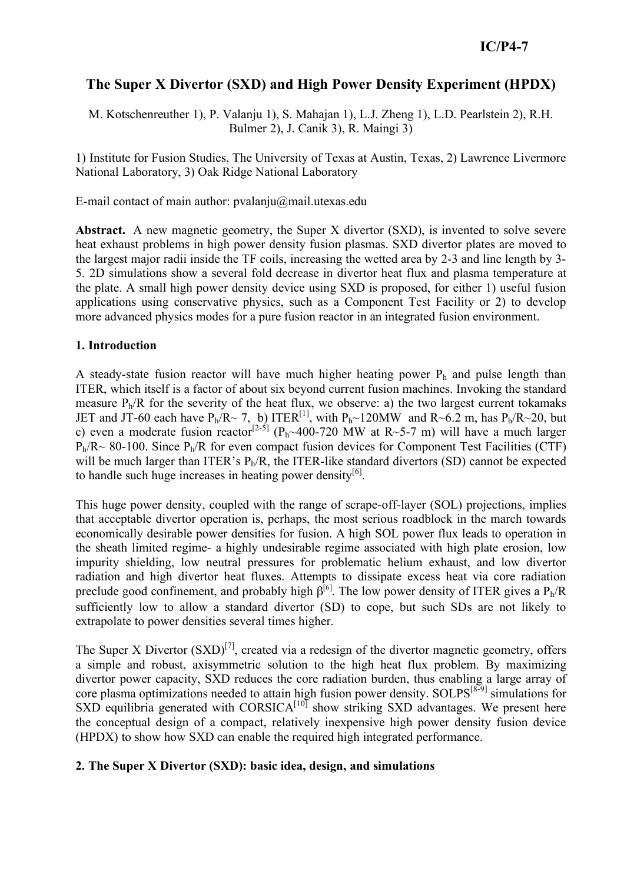## **IC/P4-7**

## **The Super X Divertor (SXD) and High Power Density Experiment (HPDX)**

M. Kotschenreuther 1), P. Valanju 1), S. Mahajan 1), L.J. Zheng 1), L.D. Pearlstein 2), R.H. Bulmer 2), J. Canik 3), R. Maingi 3)

1) Institute for Fusion Studies, The University of Texas at Austin, Texas, 2) Lawrence Livermore National Laboratory, 3) Oak Ridge National Laboratory

E-mail contact of main author:  $pvalanju@mail.utexas.edu$ 

Abstract. A new magnetic geometry, the Super X divertor (SXD), is invented to solve severe heat exhaust problems in high power density fusion plasmas. SXD divertor plates are moved to the largest major radii inside the TF coils, increasing the wetted area by 2-3 and line length by 3- 5. 2D simulations show a several fold decrease in divertor heat flux and plasma temperature at the plate. A small high power density device using SXD is proposed, for either 1) useful fusion applications using conservative physics, such as a Component Test Facility or 2) to develop more advanced physics modes for a pure fusion reactor in an integrated fusion environment.

#### **1. Introduction**

A steady-state fusion reactor will have much higher heating power  $P_h$  and pulse length than ITER, which itself is a factor of about six beyond current fusion machines. Invoking the standard measure  $P_h/R$  for the severity of the heat flux, we observe: a) the two largest current tokamaks JET and JT-60 each have  $P_h/R \sim 7$ , b) ITER<sup>[1]</sup>, with  $P_h \sim 120MW$  and  $R \sim 6.2$  m, has  $P_h/R \sim 20$ , but c) even a moderate fusion reactor<sup>[2-5]</sup> (P<sub>h</sub> $\sim$ 400-720 MW at R $\sim$ 5-7 m) will have a much larger  $P_h/R \sim 80-100$ . Since  $P_h/R$  for even compact fusion devices for Component Test Facilities (CTF) will be much larger than ITER's Ph/R, the ITER-like standard divertors (SD) cannot be expected to handle such huge increases in heating power density $^{[6]}$ .

This huge power density, coupled with the range of scrape-off-layer (SOL) projections, implies that acceptable divertor operation is, perhaps, the most serious roadblock in the march towards economically desirable power densities for fusion. A high SOL power flux leads to operation in the sheath limited regime- a highly undesirable regime associated with high plate erosion, low impurity shielding, low neutral pressures for problematic helium exhaust, and low divertor radiation and high divertor heat fluxes. Attempts to dissipate excess heat via core radiation preclude good confinement, and probably high  $\beta^{[6]}$ . The low power density of ITER gives a P<sub>h</sub>/R sufficiently low to allow a standard divertor (SD) to cope, but such SDs are not likely to extrapolate to power densities several times higher.

The Super X Divertor  $(SXD)^{[7]}$ , created via a redesign of the divertor magnetic geometry, offers a simple and robust, axisymmetric solution to the high heat flux problem. By maximizing divertor power capacity, SXD reduces the core radiation burden, thus enabling a large array of core plasma optimizations needed to attain high fusion power density. SOLPS<sup>[8-9]</sup> simulations for  $SXD$  equilibria generated with  $CORSICA<sup>[10]</sup>$  show striking  $SXD$  advantages. We present here the conceptual design of a compact, relatively inexpensive high power density fusion device (HPDX) to show how SXD can enable the required high integrated performance.

#### **2. The Super X Divertor (SXD): basic idea, design, and simulations**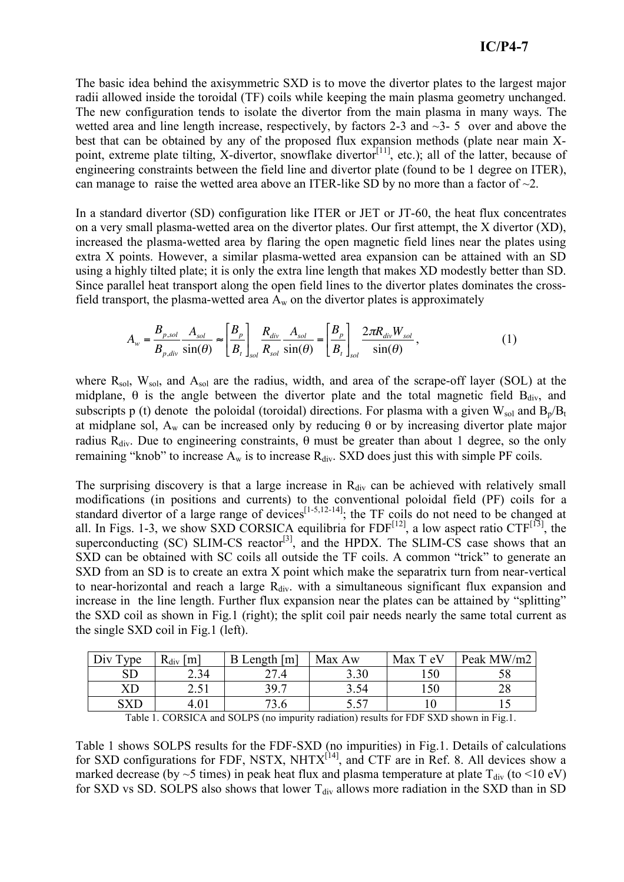## **IC/P4-7**

The basic idea behind the axisymmetric SXD is to move the divertor plates to the largest major radii allowed inside the toroidal (TF) coils while keeping the main plasma geometry unchanged. The new configuration tends to isolate the divertor from the main plasma in many ways. The wetted area and line length increase, respectively, by factors 2-3 and  $\sim$ 3-5 over and above the best that can be obtained by any of the proposed flux expansion methods (plate near main Xpoint, extreme plate tilting, X-divertor, snowflake divertor<sup>[11]</sup>, etc.); all of the latter, because of engineering constraints between the field line and divertor plate (found to be 1 degree on ITER), can manage to raise the wetted area above an ITER-like SD by no more than a factor of  $\sim$ 2.

In a standard divertor (SD) configuration like ITER or JET or JT-60, the heat flux concentrates on a very small plasma-wetted area on the divertor plates. Our first attempt, the X divertor (XD), increased the plasma-wetted area by flaring the open magnetic field lines near the plates using extra X points. However, a similar plasma-wetted area expansion can be attained with an SD using a highly tilted plate; it is only the extra line length that makes XD modestly better than SD. Since parallel heat transport along the open field lines to the divertor plates dominates the crossfield transport, the plasma-wetted area  $A_w$  on the divertor plates is approximately

$$
A_{w} = \frac{B_{p,sol}}{B_{p,div}} \frac{A_{sol}}{\sin(\theta)} \approx \left[\frac{B_{p}}{B_{t}}\right]_{sol} \frac{R_{div}}{R_{sol}} \frac{A_{sol}}{\sin(\theta)} = \left[\frac{B_{p}}{B_{t}}\right]_{sol} \frac{2\pi R_{div}W_{sol}}{\sin(\theta)},
$$
\n(1)

subscripts p (t) denote the poloidal (toroidal) directions. For plasma with a given  $W_{sol}$  and  $B_p/B_t$ where  $R_{sol}$ ,  $W_{sol}$ , and  $A_{sol}$  are the radius, width, and area of the scrape-off layer (SOL) at the midplane,  $\theta$  is the angle between the divertor plate and the total magnetic field  $B_{div}$ , and at midplane sol,  $A_w$  can be increased only by reducing  $\theta$  or by increasing divertor plate major radius R<sub>div</sub>. Due to engineering constraints, θ must be greater than about 1 degree, so the only remaining "knob" to increase  $A_w$  is to increase  $R_{div}$ . SXD does just this with simple PF coils.

The surprising discovery is that a large increase in  $R<sub>div</sub>$  can be achieved with relatively small modifications (in positions and currents) to the conventional poloidal field (PF) coils for a standard divertor of a large range of devices<sup>[1-5,12-14]</sup>; the TF coils do not need to be changed at all. In Figs. 1-3, we show SXD CORSICA equilibria for  $FDF^{[12]}$ , a low aspect ratio CTF<sup>[13]</sup>, the superconducting  $(SC)$  SLIM-CS reactor<sup>[3]</sup>, and the HPDX. The SLIM-CS case shows that an SXD can be obtained with SC coils all outside the TF coils. A common "trick" to generate an SXD from an SD is to create an extra X point which make the separatrix turn from near-vertical to near-horizontal and reach a large  $R_{div}$ . with a simultaneous significant flux expansion and increase in the line length. Further flux expansion near the plates can be attained by "splitting" the SXD coil as shown in Fig.1 (right); the split coil pair needs nearly the same total current as the single SXD coil in Fig.1 (left).

| Div Type  | [m]<br>$N_{\rm div}$ | Length<br>$\lceil m \rceil$<br>Βl | Max Aw            | Max T eV | Peak MW/m2 |
|-----------|----------------------|-----------------------------------|-------------------|----------|------------|
| <b>SD</b> | 2.34                 | 27.4                              | 3.30              | 150      |            |
| XD        | ገ ዳ1<br>2.J I        | 397                               | 3.54              | 150      |            |
| SXD       | 4.01                 | 73.6                              | 557<br>$J. \cup.$ |          |            |

Table 1. CORSICA and SOLPS (no impurity radiation) results for FDF SXD shown in Fig.1.

Table 1 shows SOLPS results for the FDF-SXD (no impurities) in Fig.1. Details of calculations for SXD configurations for FDF, NSTX, NHT $X^{[14]}$ , and CTF are in Ref. 8. All devices show a marked decrease (by  $\sim$ 5 times) in peak heat flux and plasma temperature at plate T<sub>div</sub> (to <10 eV) for SXD vs SD. SOLPS also shows that lower  $T_{div}$  allows more radiation in the SXD than in SD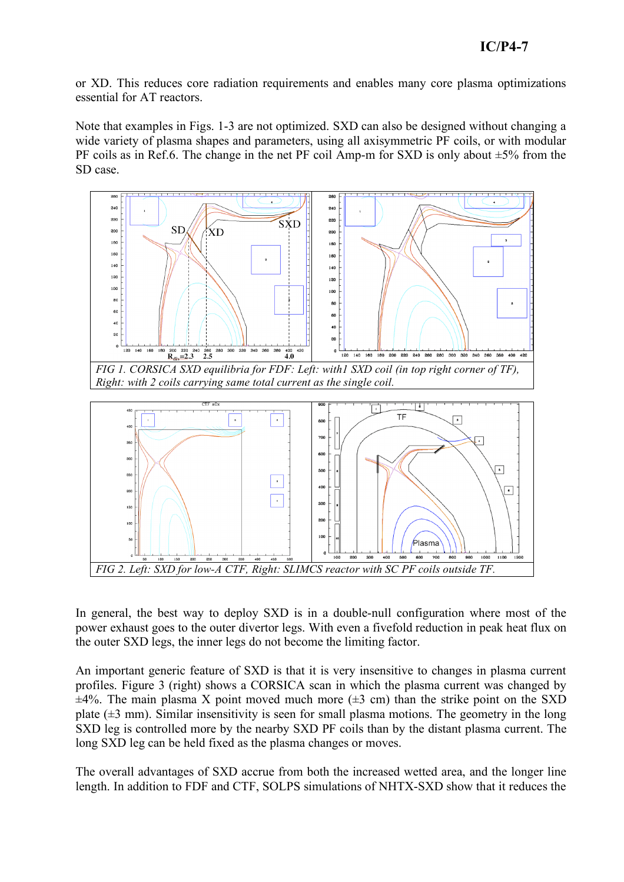or XD. This reduces core radiation requirements and enables many core plasma optimizations essential for AT reactors.

Note that examples in Figs. 1-3 are not optimized. SXD can also be designed without changing a wide variety of plasma shapes and parameters, using all axisymmetric PF coils, or with modular PF coils as in Ref.6. The change in the net PF coil Amp-m for SXD is only about  $\pm 5\%$  from the SD case.



In general, the best way to deploy SXD is in a double-null configuration where most of the power exhaust goes to the outer divertor legs. With even a fivefold reduction in peak heat flux on the outer SXD legs, the inner legs do not become the limiting factor.

An important generic feature of SXD is that it is very insensitive to changes in plasma current profiles. Figure 3 (right) shows a CORSICA scan in which the plasma current was changed by  $\pm$ 4%. The main plasma X point moved much more ( $\pm$ 3 cm) than the strike point on the SXD plate  $(\pm 3 \text{ mm})$ . Similar insensitivity is seen for small plasma motions. The geometry in the long SXD leg is controlled more by the nearby SXD PF coils than by the distant plasma current. The long SXD leg can be held fixed as the plasma changes or moves.

The overall advantages of SXD accrue from both the increased wetted area, and the longer line length. In addition to FDF and CTF, SOLPS simulations of NHTX-SXD show that it reduces the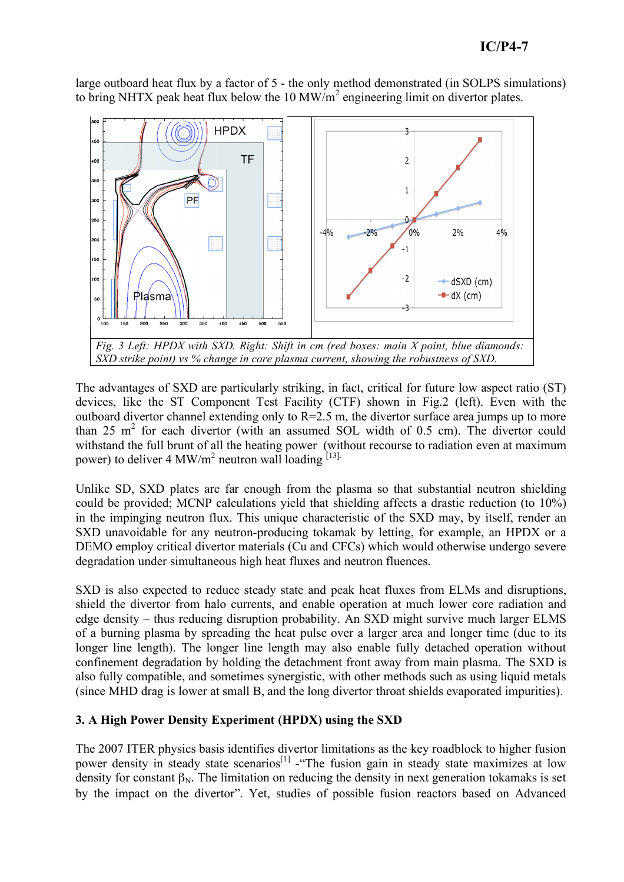# **IC/P4-7**

large outboard heat flux by a factor of 5 - the only method demonstrated (in SOLPS simulations) to bring NHTX peak heat flux below the  $10 \text{ MW/m}^2$  engineering limit on divertor plates.



The advantages of SXD are particularly striking, in fact, critical for future low aspect ratio (ST) devices, like the ST Component Test Facility (CTF) shown in Fig.2 (left). Even with the outboard divertor channel extending only to  $R=2.5$  m, the divertor surface area jumps up to more than 25 m<sup>2</sup> for each divertor (with an assumed SOL width of 0.5 cm). The divertor could withstand the full brunt of all the heating power (without recourse to radiation even at maximum power) to deliver 4 MW/m<sup>2</sup> neutron wall loading  $^{[13]}.$ 

Unlike SD, SXD plates are far enough from the plasma so that substantial neutron shielding could be provided; MCNP calculations yield that shielding affects a drastic reduction (to 10%) in the impinging neutron flux. This unique characteristic of the SXD may, by itself, render an SXD unavoidable for any neutron-producing tokamak by letting, for example, an HPDX or a DEMO employ critical divertor materials (Cu and CFCs) which would otherwise undergo severe degradation under simultaneous high heat fluxes and neutron fluences.

SXD is also expected to reduce steady state and peak heat fluxes from ELMs and disruptions, shield the divertor from halo currents, and enable operation at much lower core radiation and edge density – thus reducing disruption probability. An SXD might survive much larger ELMS of a burning plasma by spreading the heat pulse over a larger area and longer time (due to its longer line length). The longer line length may also enable fully detached operation without confinement degradation by holding the detachment front away from main plasma. The SXD is also fully compatible, and sometimes synergistic, with other methods such as using liquid metals (since MHD drag is lower at small B, and the long divertor throat shields evaporated impurities).

### **3. A High Power Density Experiment (HPDX) using the SXD**

The 2007 ITER physics basis identifies divertor limitations as the key roadblock to higher fusion power density in steady state scenarios<sup>[1]</sup> - "The fusion gain in steady state maximizes at low density for constant  $\beta_N$ . The limitation on reducing the density in next generation tokamaks is set by the impact on the divertor". Yet, studies of possible fusion reactors based on Advanced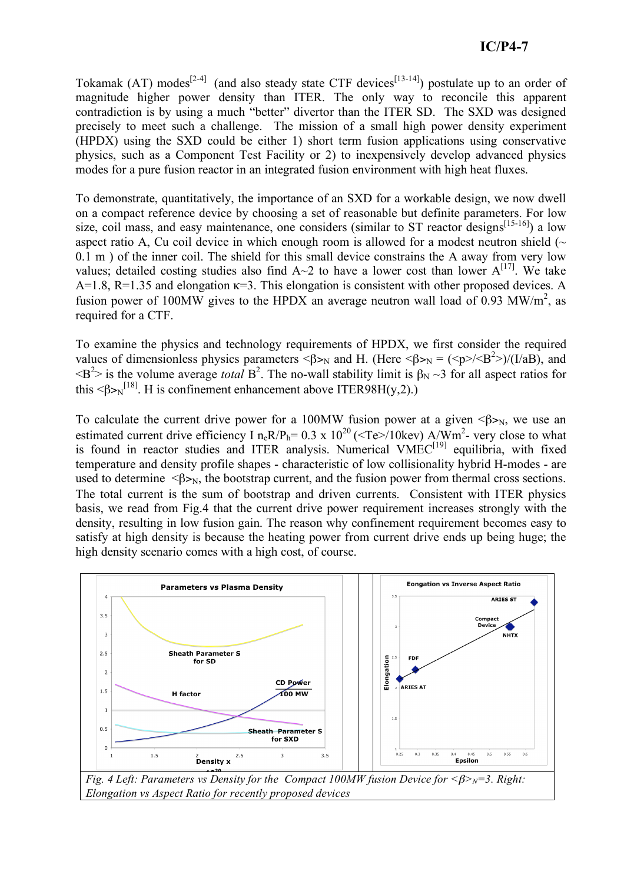Tokamak (AT) modes<sup>[2-4]</sup> (and also steady state CTF devices<sup>[13-14]</sup>) postulate up to an order of magnitude higher power density than ITER. The only way to reconcile this apparent contradiction is by using a much "better" divertor than the ITER SD. The SXD was designed precisely to meet such a challenge. The mission of a small high power density experiment (HPDX) using the SXD could be either 1) short term fusion applications using conservative physics, such as a Component Test Facility or 2) to inexpensively develop advanced physics modes for a pure fusion reactor in an integrated fusion environment with high heat fluxes.

To demonstrate, quantitatively, the importance of an SXD for a workable design, we now dwell on a compact reference device by choosing a set of reasonable but definite parameters. For low size, coil mass, and easy maintenance, one considers (similar to ST reactor designs<sup>[15-16]</sup>) a low aspect ratio A, Cu coil device in which enough room is allowed for a modest neutron shield  $(\sim$ 0.1 m ) of the inner coil. The shield for this small device constrains the A away from very low values; detailed costing studies also find  $A \sim 2$  to have a lower cost than lower  $A^{[17]}$ . We take A=1.8, R=1.35 and elongation κ=3. This elongation is consistent with other proposed devices. A fusion power of 100MW gives to the HPDX an average neutron wall load of 0.93 MW/m<sup>2</sup>, as required for a CTF.

To examine the physics and technology requirements of HPDX, we first consider the required values of dimensionless physics parameters < $\beta >_N$  and H. (Here < $\beta >_N$  = (< $p$ >/< $B^2$ >)/(I/aB), and  $\langle B^2 \rangle$  is the volume average *total*  $B^2$ . The no-wall stability limit is  $\beta_N \sim 3$  for all aspect ratios for this  $\langle \beta \rangle_N^{[18]}$ . H is confinement enhancement above ITER98H(y,2).)

To calculate the current drive power for a 100MW fusion power at a given  $\leq B\geq N$ , we use an estimated current drive efficiency I n<sub>e</sub>R/P<sub>h</sub>= 0.3 x 10<sup>20</sup> (<Te>/10kev) A/Wm<sup>2</sup>- very close to what is found in reactor studies and ITER analysis. Numerical  $VMEC^{[19]}$  equilibria, with fixed temperature and density profile shapes - characteristic of low collisionality hybrid H-modes - are used to determine  $\langle \beta \rangle_N$ , the bootstrap current, and the fusion power from thermal cross sections. The total current is the sum of bootstrap and driven currents. Consistent with ITER physics basis, we read from Fig.4 that the current drive power requirement increases strongly with the density, resulting in low fusion gain. The reason why confinement requirement becomes easy to satisfy at high density is because the heating power from current drive ends up being huge; the high density scenario comes with a high cost, of course.

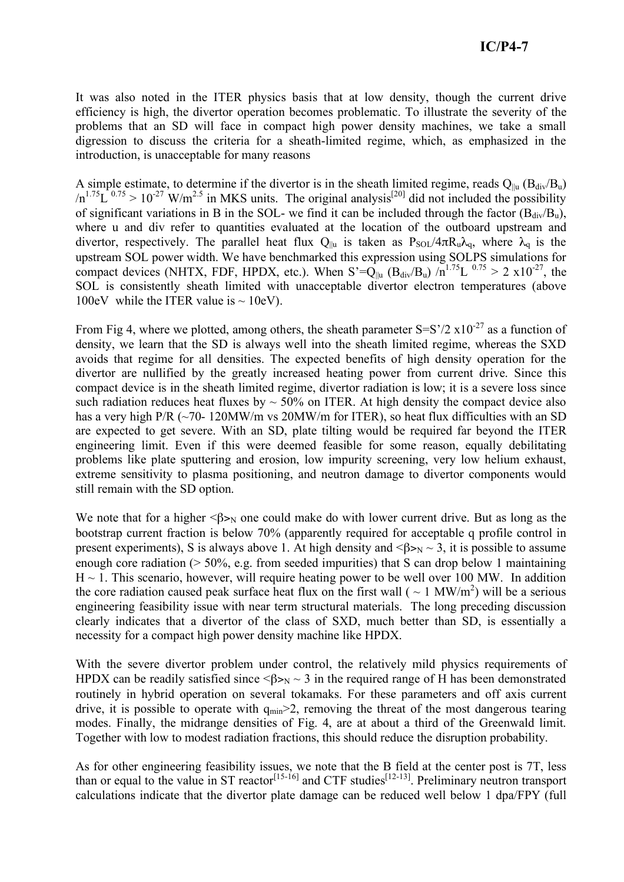It was also noted in the ITER physics basis that at low density, though the current drive efficiency is high, the divertor operation becomes problematic. To illustrate the severity of the problems that an SD will face in compact high power density machines, we take a small digression to discuss the criteria for a sheath-limited regime, which, as emphasized in the introduction, is unacceptable for many reasons

A simple estimate, to determine if the divertor is in the sheath limited regime, reads  $Q_{\parallel u} (B_{\text{div}}/B_u)$  $\ln^{1.75}$ L  $\frac{0.75}{1.75}$  > 10<sup>-27</sup> W/m<sup>2.5</sup> in MKS units. The original analysis<sup>[20]</sup> did not included the possibility of significant variations in B in the SOL- we find it can be included through the factor  $(B_{div}/B_u)$ , where u and div refer to quantities evaluated at the location of the outboard upstream and divertor, respectively. The parallel heat flux  $Q_{\parallel u}$  is taken as  $P_{\text{SO}L}/4\pi R_u \lambda_q$ , where  $\lambda_q$  is the upstream SOL power width. We have benchmarked this expression using SOLPS simulations for compact devices (NHTX, FDF, HPDX, etc.). When  $S' = Q_{\parallel u} (B_{div}/B_u) / n^{1.75} L^{-0.75} > 2 \times 10^{-27}$ , the SOL is consistently sheath limited with unacceptable divertor electron temperatures (above 100eV while the ITER value is  $\sim$  10eV).

From Fig 4, where we plotted, among others, the sheath parameter  $S = S'/2 x 10^{-27}$  as a function of density, we learn that the SD is always well into the sheath limited regime, whereas the SXD avoids that regime for all densities. The expected benefits of high density operation for the divertor are nullified by the greatly increased heating power from current drive. Since this compact device is in the sheath limited regime, divertor radiation is low; it is a severe loss since such radiation reduces heat fluxes by  $\sim$  50% on ITER. At high density the compact device also has a very high P/R  $\left(\frac{-70}{-120\text{MW/m}}\right)$  vs 20MW/m for ITER), so heat flux difficulties with an SD are expected to get severe. With an SD, plate tilting would be required far beyond the ITER engineering limit. Even if this were deemed feasible for some reason, equally debilitating problems like plate sputtering and erosion, low impurity screening, very low helium exhaust, extreme sensitivity to plasma positioning, and neutron damage to divertor components would still remain with the SD option.

We note that for a higher  $\leq \beta \geq N$  one could make do with lower current drive. But as long as the bootstrap current fraction is below 70% (apparently required for acceptable q profile control in present experiments), S is always above 1. At high density and  $\langle \beta \rangle_N \sim 3$ , it is possible to assume enough core radiation (> 50%, e.g. from seeded impurities) that S can drop below 1 maintaining  $H \sim 1$ . This scenario, however, will require heating power to be well over 100 MW. In addition the core radiation caused peak surface heat flux on the first wall ( $\sim 1$  MW/m<sup>2</sup>) will be a serious engineering feasibility issue with near term structural materials. The long preceding discussion clearly indicates that a divertor of the class of SXD, much better than SD, is essentially a necessity for a compact high power density machine like HPDX.

With the severe divertor problem under control, the relatively mild physics requirements of HPDX can be readily satisfied since  $\langle \beta \rangle_N \sim 3$  in the required range of H has been demonstrated routinely in hybrid operation on several tokamaks. For these parameters and off axis current drive, it is possible to operate with  $q_{min} > 2$ , removing the threat of the most dangerous tearing modes. Finally, the midrange densities of Fig. 4, are at about a third of the Greenwald limit. Together with low to modest radiation fractions, this should reduce the disruption probability.

As for other engineering feasibility issues, we note that the B field at the center post is 7T, less than or equal to the value in ST reactor<sup>[15-16]</sup> and CTF studies<sup>[12-13]</sup>. Preliminary neutron transport calculations indicate that the divertor plate damage can be reduced well below 1 dpa/FPY (full